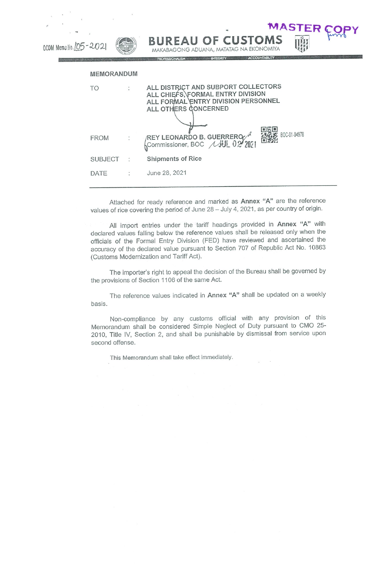| OCOM Memo No. 105-2021 |                   | <b>MASTER C</b><br><b>BUREAU OF CUSTOMS</b><br>MAKABAGONG ADUANA, MATATAG NA EKONOMIYA<br>ACCOUNTABILITY<br><b>PROFESSIONALISM WE INTEGRITY</b> |
|------------------------|-------------------|-------------------------------------------------------------------------------------------------------------------------------------------------|
|                        | <b>MEMORANDUM</b> |                                                                                                                                                 |
|                        | TO                | ALL DISTRICT AND SUBPORT COLLECTORS<br>ALL CHIEFS, FORMAL ENTRY DIVISION<br>ALL FORMAL ENTRY DIVISION PERSONNEL<br>ALL OTHERS GONCERNED         |
|                        | <b>FROM</b>       | 35条案 BOC-01-04978<br>REY LEONARDO B. GUERREROZA<br>Commissioner, BOC //JUL 02 2021                                                              |
|                        | <b>SUBJECT</b>    | Shipments of Rice                                                                                                                               |
|                        | DATE              | June 28, 2021                                                                                                                                   |

Attached for ready reference and marked as Annex "A" are the reference values of rice covering the period of June 28 - July 4, 2021, as per country of origin.

All import entries under the tariff headings provided in Annex "A" with declared values falling below the reference values shall be released only when the officials of the Formal Entry Division (FED) have reviewed and ascertained the accuracy of the declared value pursuant to Section 707 of Republic Act No. 10863 (Customs Modernization and Tariff Act).

The importer's right to appeal the decision of the Bureau shall be governed by the provisions of Section 1106 of the same Act.

The reference values indicated in Annex "A" shall be updated on a weekly basis.

Non-compliance by any customs official with any provision of this Memorandum shall be considered Simple Neglect of Duty pursuant to CM0 25- 2010, Title IV, Section 2, and shall be punishable by dismissal from service upon second offense,

This Memorandum shall take effect immediately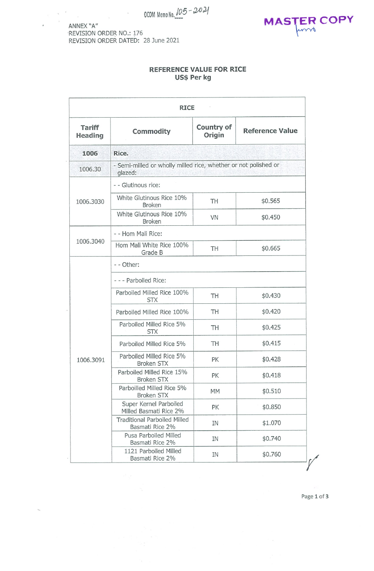ANNEX "A" REVISION ORDER NO.: 176 REVISION ORDER DATED: 28 June 2021



## REFERENCE VALUE FOR RICE Us\$ Per kg

| <b>RICE</b>                     |                                                                            |                      |                        |  |  |  |
|---------------------------------|----------------------------------------------------------------------------|----------------------|------------------------|--|--|--|
| <b>Tariff</b><br><b>Heading</b> | <b>Commodity</b>                                                           | Country of<br>Origin | <b>Reference Value</b> |  |  |  |
| 1006                            | Rice.                                                                      |                      |                        |  |  |  |
| 1006.30                         | - Semi-milled or wholly milled rice, whether or not polished or<br>glazed: |                      |                        |  |  |  |
| 1006.3030                       | - - Glutinous rice:                                                        |                      |                        |  |  |  |
|                                 | White Glutinous Rice 10%<br><b>Broken</b>                                  | TH                   | \$0.565                |  |  |  |
|                                 | White Glutinous Rice 10%<br><b>Broken</b>                                  | <b>VN</b>            | \$0.450                |  |  |  |
| 1006.3040                       | - - Hom Mali Rice:                                                         |                      |                        |  |  |  |
|                                 | Hom Mali White Rice 100%<br>Grade B                                        | TH                   | \$0.665                |  |  |  |
|                                 | - - Other:                                                                 |                      |                        |  |  |  |
|                                 | --- Parboiled Rice:                                                        |                      |                        |  |  |  |
|                                 | Parboiled Milled Rice 100%<br><b>STX</b>                                   | TH                   | \$0.430                |  |  |  |
|                                 | Parboiled Milled Rice 100%                                                 | TH                   | \$0.420                |  |  |  |
|                                 | Parboiled Milled Rice 5%<br><b>STX</b>                                     | TH                   | \$0.425                |  |  |  |
|                                 | Parboiled Milled Rice 5%                                                   | TH                   | \$0.415                |  |  |  |
| 1006.3091                       | Parboiled Milled Rice 5%<br><b>Broken STX</b>                              | PK                   | \$0.428                |  |  |  |
|                                 | Parboiled Milled Rice 15%<br><b>Broken STX</b>                             | PK                   | \$0.418                |  |  |  |
|                                 | Parboilled Milled Rice 5%<br><b>Broken STX</b>                             | <b>MM</b>            | \$0.510                |  |  |  |
|                                 | Super Kernel Parboiled<br>Milled Basmati Rice 2%                           | PK                   | \$0.850                |  |  |  |
|                                 | <b>Traditional Parboiled Milled</b><br>Basmati Rice 2%                     | IN                   | \$1.070                |  |  |  |
|                                 | Pusa Parboiled Milled<br>Basmati Rice 2%                                   | IN                   | \$0.740                |  |  |  |
|                                 | 1121 Parboiled Milled<br>Basmati Rice 2%                                   | IN                   | \$0.760                |  |  |  |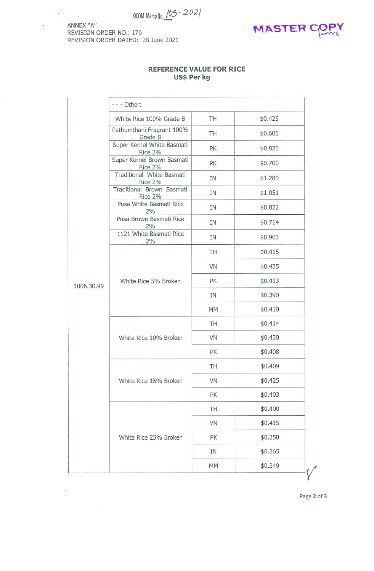OCOM Memo No.  $105 - 2021$ 

ANNEX 'A" REVISION ORDER NO.: 176 REVISION ORDER DATED : 28 June 2021



## REFERENCE VALUE FOR RICE Us\$ Per kg

|            | - - - Other:                          |           |         |
|------------|---------------------------------------|-----------|---------|
|            | White Rice 100% Grade B               | TH        | \$0.425 |
|            | Pathumthani Fragrant 100%<br>Grade B  | TH        | \$0.605 |
|            | Super Kernel White Basmati<br>Rice 2% | PK        | \$0.820 |
|            | Super Kernel Brown Basmati<br>Rice 2% | PK        | \$0.700 |
|            | Traditional White Basmati<br>Rice 2%  | ΙN        | \$1.280 |
|            | Traditional Brown Basmati<br>Rice 2%  | IN        | \$1.051 |
|            | Pusa White Basmati Rice<br>2%         | IN        | \$0.822 |
|            | Pusa Brown Basmati Rice<br>2%         | ΙN        | \$0.714 |
|            | 1121 White Basmati Rice<br>2%         | ΙN        | \$0.903 |
|            |                                       | TH        | \$0.415 |
|            |                                       | VN        | \$0.435 |
| 1006.30.99 | White Rice 5% Broken                  | PK        | \$0.413 |
|            |                                       | IN        | \$0.390 |
|            |                                       | <b>MM</b> | \$0.410 |
|            |                                       | TH        | \$0.414 |
|            | White Rice 10% Broken                 | VN        | \$0.430 |
|            |                                       | PK        | \$0.408 |
|            |                                       | TH        | \$0.409 |
|            | White Rice 15% Broken                 | VN        | \$0.425 |
|            |                                       | PK        | \$0.403 |
|            |                                       | TH        | \$0.400 |
|            |                                       | VN        | \$0.415 |
|            | White Rice 25% Broken                 | PK        | \$0.358 |
|            |                                       | IN        | \$0.365 |
|            |                                       | <b>MM</b> | \$0.349 |

Page 2 of 3